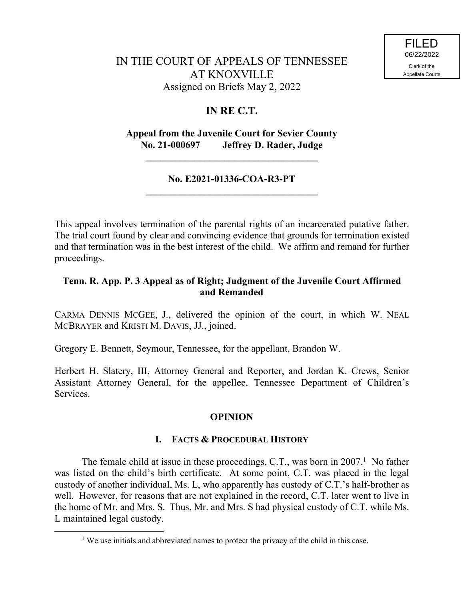# **IN RE C.T.**

## **Appeal from the Juvenile Court for Sevier County No. 21-000697 Jeffrey D. Rader, Judge**

**\_\_\_\_\_\_\_\_\_\_\_\_\_\_\_\_\_\_\_\_\_\_\_\_\_\_\_\_\_\_\_\_\_\_\_**

## **No. E2021-01336-COA-R3-PT \_\_\_\_\_\_\_\_\_\_\_\_\_\_\_\_\_\_\_\_\_\_\_\_\_\_\_\_\_\_\_\_\_\_\_**

This appeal involves termination of the parental rights of an incarcerated putative father. The trial court found by clear and convincing evidence that grounds for termination existed and that termination was in the best interest of the child. We affirm and remand for further proceedings.

## **Tenn. R. App. P. 3 Appeal as of Right; Judgment of the Juvenile Court Affirmed and Remanded**

CARMA DENNIS MCGEE, J., delivered the opinion of the court, in which W. NEAL MCBRAYER and KRISTI M. DAVIS, JJ., joined.

Gregory E. Bennett, Seymour, Tennessee, for the appellant, Brandon W.

Herbert H. Slatery, III, Attorney General and Reporter, and Jordan K. Crews, Senior Assistant Attorney General, for the appellee, Tennessee Department of Children's Services.

## **OPINION**

#### **I. FACTS & PROCEDURAL HISTORY**

The female child at issue in these proceedings, C.T., was born in  $2007<sup>1</sup>$  No father was listed on the child's birth certificate. At some point, C.T. was placed in the legal custody of another individual, Ms. L, who apparently has custody of C.T.'s half-brother as well. However, for reasons that are not explained in the record, C.T. later went to live in the home of Mr. and Mrs. S. Thus, Mr. and Mrs. S had physical custody of C.T. while Ms. L maintained legal custody.

 $\overline{a}$ 

<sup>&</sup>lt;sup>1</sup> We use initials and abbreviated names to protect the privacy of the child in this case.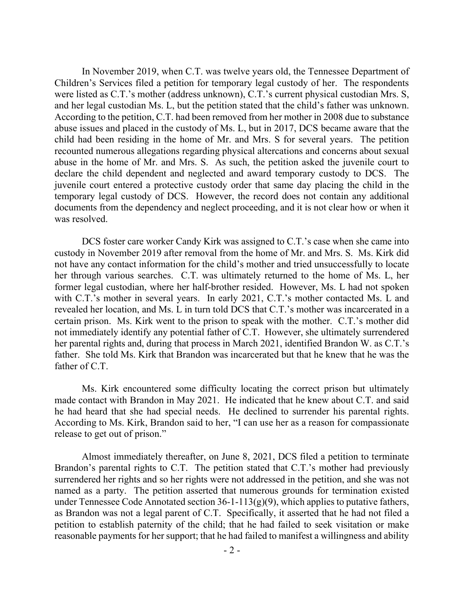In November 2019, when C.T. was twelve years old, the Tennessee Department of Children's Services filed a petition for temporary legal custody of her. The respondents were listed as C.T.'s mother (address unknown), C.T.'s current physical custodian Mrs. S, and her legal custodian Ms. L, but the petition stated that the child's father was unknown. According to the petition, C.T. had been removed from her mother in 2008 due to substance abuse issues and placed in the custody of Ms. L, but in 2017, DCS became aware that the child had been residing in the home of Mr. and Mrs. S for several years. The petition recounted numerous allegations regarding physical altercations and concerns about sexual abuse in the home of Mr. and Mrs. S. As such, the petition asked the juvenile court to declare the child dependent and neglected and award temporary custody to DCS. The juvenile court entered a protective custody order that same day placing the child in the temporary legal custody of DCS. However, the record does not contain any additional documents from the dependency and neglect proceeding, and it is not clear how or when it was resolved.

DCS foster care worker Candy Kirk was assigned to C.T.'s case when she came into custody in November 2019 after removal from the home of Mr. and Mrs. S. Ms. Kirk did not have any contact information for the child's mother and tried unsuccessfully to locate her through various searches. C.T. was ultimately returned to the home of Ms. L, her former legal custodian, where her half-brother resided. However, Ms. L had not spoken with C.T.'s mother in several years. In early 2021, C.T.'s mother contacted Ms. L and revealed her location, and Ms. L in turn told DCS that C.T.'s mother was incarcerated in a certain prison. Ms. Kirk went to the prison to speak with the mother. C.T.'s mother did not immediately identify any potential father of C.T. However, she ultimately surrendered her parental rights and, during that process in March 2021, identified Brandon W. as C.T.'s father. She told Ms. Kirk that Brandon was incarcerated but that he knew that he was the father of C.T.

Ms. Kirk encountered some difficulty locating the correct prison but ultimately made contact with Brandon in May 2021. He indicated that he knew about C.T. and said he had heard that she had special needs. He declined to surrender his parental rights. According to Ms. Kirk, Brandon said to her, "I can use her as a reason for compassionate release to get out of prison."

Almost immediately thereafter, on June 8, 2021, DCS filed a petition to terminate Brandon's parental rights to C.T. The petition stated that C.T.'s mother had previously surrendered her rights and so her rights were not addressed in the petition, and she was not named as a party. The petition asserted that numerous grounds for termination existed under Tennessee Code Annotated section  $36-1-113(g)(9)$ , which applies to putative fathers, as Brandon was not a legal parent of C.T. Specifically, it asserted that he had not filed a petition to establish paternity of the child; that he had failed to seek visitation or make reasonable payments for her support; that he had failed to manifest a willingness and ability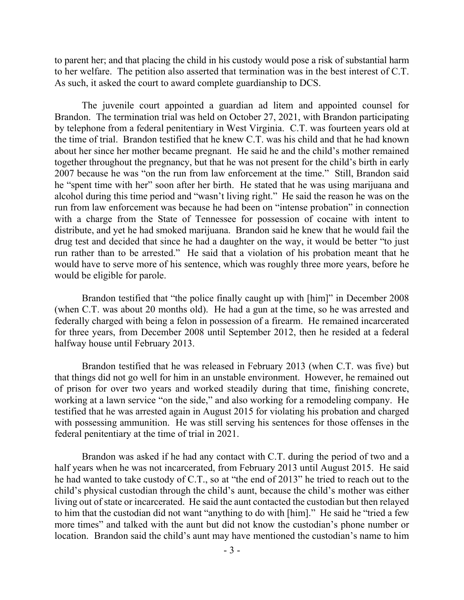to parent her; and that placing the child in his custody would pose a risk of substantial harm to her welfare. The petition also asserted that termination was in the best interest of C.T. As such, it asked the court to award complete guardianship to DCS.

The juvenile court appointed a guardian ad litem and appointed counsel for Brandon. The termination trial was held on October 27, 2021, with Brandon participating by telephone from a federal penitentiary in West Virginia. C.T. was fourteen years old at the time of trial. Brandon testified that he knew C.T. was his child and that he had known about her since her mother became pregnant. He said he and the child's mother remained together throughout the pregnancy, but that he was not present for the child's birth in early 2007 because he was "on the run from law enforcement at the time." Still, Brandon said he "spent time with her" soon after her birth. He stated that he was using marijuana and alcohol during this time period and "wasn't living right." He said the reason he was on the run from law enforcement was because he had been on "intense probation" in connection with a charge from the State of Tennessee for possession of cocaine with intent to distribute, and yet he had smoked marijuana. Brandon said he knew that he would fail the drug test and decided that since he had a daughter on the way, it would be better "to just run rather than to be arrested." He said that a violation of his probation meant that he would have to serve more of his sentence, which was roughly three more years, before he would be eligible for parole.

Brandon testified that "the police finally caught up with [him]" in December 2008 (when C.T. was about 20 months old). He had a gun at the time, so he was arrested and federally charged with being a felon in possession of a firearm. He remained incarcerated for three years, from December 2008 until September 2012, then he resided at a federal halfway house until February 2013.

Brandon testified that he was released in February 2013 (when C.T. was five) but that things did not go well for him in an unstable environment. However, he remained out of prison for over two years and worked steadily during that time, finishing concrete, working at a lawn service "on the side," and also working for a remodeling company. He testified that he was arrested again in August 2015 for violating his probation and charged with possessing ammunition. He was still serving his sentences for those offenses in the federal penitentiary at the time of trial in 2021.

Brandon was asked if he had any contact with C.T. during the period of two and a half years when he was not incarcerated, from February 2013 until August 2015. He said he had wanted to take custody of C.T., so at "the end of 2013" he tried to reach out to the child's physical custodian through the child's aunt, because the child's mother was either living out of state or incarcerated. He said the aunt contacted the custodian but then relayed to him that the custodian did not want "anything to do with [him]." He said he "tried a few more times" and talked with the aunt but did not know the custodian's phone number or location. Brandon said the child's aunt may have mentioned the custodian's name to him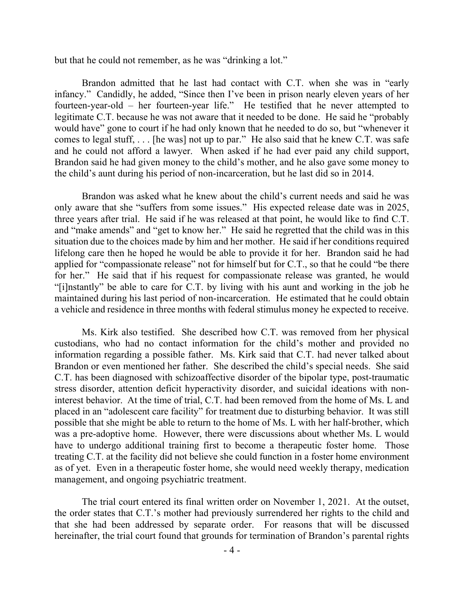but that he could not remember, as he was "drinking a lot."

Brandon admitted that he last had contact with C.T. when she was in "early infancy." Candidly, he added, "Since then I've been in prison nearly eleven years of her fourteen-year-old – her fourteen-year life." He testified that he never attempted to legitimate C.T. because he was not aware that it needed to be done. He said he "probably would have" gone to court if he had only known that he needed to do so, but "whenever it comes to legal stuff, . . . [he was] not up to par." He also said that he knew C.T. was safe and he could not afford a lawyer. When asked if he had ever paid any child support, Brandon said he had given money to the child's mother, and he also gave some money to the child's aunt during his period of non-incarceration, but he last did so in 2014.

Brandon was asked what he knew about the child's current needs and said he was only aware that she "suffers from some issues." His expected release date was in 2025, three years after trial. He said if he was released at that point, he would like to find C.T. and "make amends" and "get to know her." He said he regretted that the child was in this situation due to the choices made by him and her mother. He said if her conditions required lifelong care then he hoped he would be able to provide it for her. Brandon said he had applied for "compassionate release" not for himself but for C.T., so that he could "be there for her." He said that if his request for compassionate release was granted, he would "[i]nstantly" be able to care for C.T. by living with his aunt and working in the job he maintained during his last period of non-incarceration. He estimated that he could obtain a vehicle and residence in three months with federal stimulus money he expected to receive.

Ms. Kirk also testified. She described how C.T. was removed from her physical custodians, who had no contact information for the child's mother and provided no information regarding a possible father. Ms. Kirk said that C.T. had never talked about Brandon or even mentioned her father. She described the child's special needs. She said C.T. has been diagnosed with schizoaffective disorder of the bipolar type, post-traumatic stress disorder, attention deficit hyperactivity disorder, and suicidal ideations with noninterest behavior. At the time of trial, C.T. had been removed from the home of Ms. L and placed in an "adolescent care facility" for treatment due to disturbing behavior. It was still possible that she might be able to return to the home of Ms. L with her half-brother, which was a pre-adoptive home. However, there were discussions about whether Ms. L would have to undergo additional training first to become a therapeutic foster home. Those treating C.T. at the facility did not believe she could function in a foster home environment as of yet. Even in a therapeutic foster home, she would need weekly therapy, medication management, and ongoing psychiatric treatment.

The trial court entered its final written order on November 1, 2021. At the outset, the order states that C.T.'s mother had previously surrendered her rights to the child and that she had been addressed by separate order. For reasons that will be discussed hereinafter, the trial court found that grounds for termination of Brandon's parental rights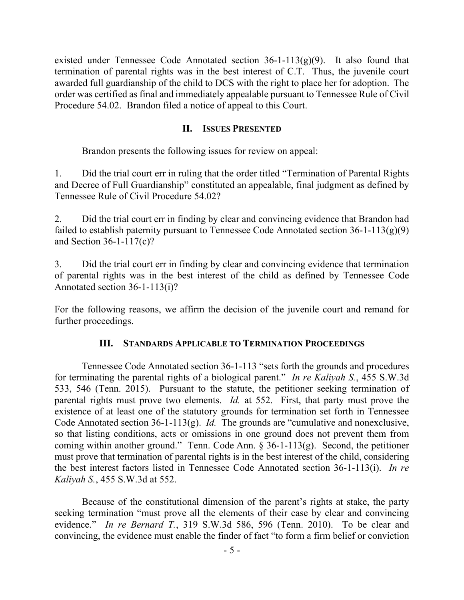existed under Tennessee Code Annotated section  $36$ -1-113 $(g)(9)$ . It also found that termination of parental rights was in the best interest of C.T. Thus, the juvenile court awarded full guardianship of the child to DCS with the right to place her for adoption. The order was certified as final and immediately appealable pursuant to Tennessee Rule of Civil Procedure 54.02. Brandon filed a notice of appeal to this Court.

### **II. ISSUES PRESENTED**

Brandon presents the following issues for review on appeal:

1. Did the trial court err in ruling that the order titled "Termination of Parental Rights and Decree of Full Guardianship" constituted an appealable, final judgment as defined by Tennessee Rule of Civil Procedure 54.02?

2. Did the trial court err in finding by clear and convincing evidence that Brandon had failed to establish paternity pursuant to Tennessee Code Annotated section  $36-1-113(g)(9)$ and Section 36-1-117(c)?

3. Did the trial court err in finding by clear and convincing evidence that termination of parental rights was in the best interest of the child as defined by Tennessee Code Annotated section 36-1-113(i)?

For the following reasons, we affirm the decision of the juvenile court and remand for further proceedings.

## **III. STANDARDS APPLICABLE TO TERMINATION PROCEEDINGS**

Tennessee Code Annotated section 36-1-113 "sets forth the grounds and procedures for terminating the parental rights of a biological parent." *In re Kaliyah S.*, 455 S.W.3d 533, 546 (Tenn. 2015). Pursuant to the statute, the petitioner seeking termination of parental rights must prove two elements. *Id.* at 552. First, that party must prove the existence of at least one of the statutory grounds for termination set forth in Tennessee Code Annotated section 36-1-113(g). *Id.* The grounds are "cumulative and nonexclusive, so that listing conditions, acts or omissions in one ground does not prevent them from coming within another ground." Tenn. Code Ann. § 36-1-113(g). Second, the petitioner must prove that termination of parental rights is in the best interest of the child, considering the best interest factors listed in Tennessee Code Annotated section 36-1-113(i). *In re Kaliyah S.*, 455 S.W.3d at 552.

Because of the constitutional dimension of the parent's rights at stake, the party seeking termination "must prove all the elements of their case by clear and convincing evidence." *In re Bernard T.*, 319 S.W.3d 586, 596 (Tenn. 2010). To be clear and convincing, the evidence must enable the finder of fact "to form a firm belief or conviction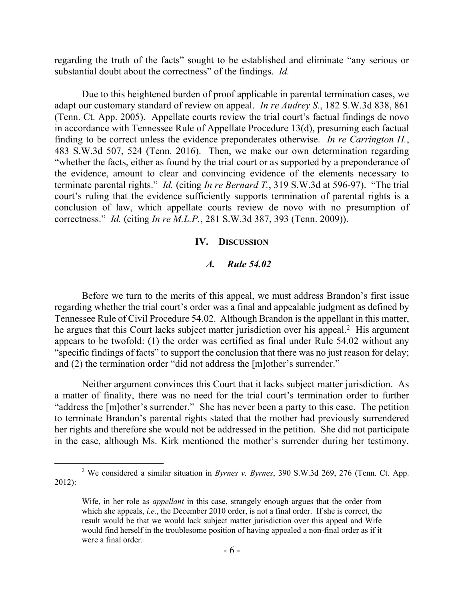regarding the truth of the facts" sought to be established and eliminate "any serious or substantial doubt about the correctness" of the findings. *Id.*

Due to this heightened burden of proof applicable in parental termination cases, we adapt our customary standard of review on appeal. *In re Audrey S.*, 182 S.W.3d 838, 861 (Tenn. Ct. App. 2005). Appellate courts review the trial court's factual findings de novo in accordance with Tennessee Rule of Appellate Procedure 13(d), presuming each factual finding to be correct unless the evidence preponderates otherwise. *In re Carrington H.*, 483 S.W.3d 507, 524 (Tenn. 2016). Then, we make our own determination regarding "whether the facts, either as found by the trial court or as supported by a preponderance of the evidence, amount to clear and convincing evidence of the elements necessary to terminate parental rights." *Id.* (citing *In re Bernard T.*, 319 S.W.3d at 596-97). "The trial court's ruling that the evidence sufficiently supports termination of parental rights is a conclusion of law, which appellate courts review de novo with no presumption of correctness." *Id.* (citing *In re M.L.P.*, 281 S.W.3d 387, 393 (Tenn. 2009)).

#### **IV. DISCUSSION**

## *A. Rule 54.02*

Before we turn to the merits of this appeal, we must address Brandon's first issue regarding whether the trial court's order was a final and appealable judgment as defined by Tennessee Rule of Civil Procedure 54.02. Although Brandon is the appellant in this matter, he argues that this Court lacks subject matter jurisdiction over his appeal.<sup>2</sup> His argument appears to be twofold: (1) the order was certified as final under Rule 54.02 without any "specific findings of facts" to support the conclusion that there was no just reason for delay; and (2) the termination order "did not address the [m]other's surrender."

Neither argument convinces this Court that it lacks subject matter jurisdiction. As a matter of finality, there was no need for the trial court's termination order to further "address the [m]other's surrender." She has never been a party to this case. The petition to terminate Brandon's parental rights stated that the mother had previously surrendered her rights and therefore she would not be addressed in the petition. She did not participate in the case, although Ms. Kirk mentioned the mother's surrender during her testimony.

 $\overline{a}$ 

<sup>2</sup> We considered a similar situation in *Byrnes v. Byrnes*, 390 S.W.3d 269, 276 (Tenn. Ct. App. 2012):

Wife, in her role as *appellant* in this case, strangely enough argues that the order from which she appeals, *i.e.*, the December 2010 order, is not a final order. If she is correct, the result would be that we would lack subject matter jurisdiction over this appeal and Wife would find herself in the troublesome position of having appealed a non-final order as if it were a final order.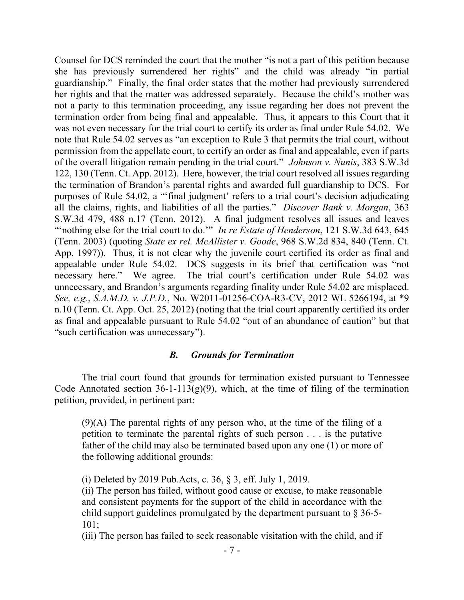Counsel for DCS reminded the court that the mother "is not a part of this petition because she has previously surrendered her rights" and the child was already "in partial guardianship." Finally, the final order states that the mother had previously surrendered her rights and that the matter was addressed separately. Because the child's mother was not a party to this termination proceeding, any issue regarding her does not prevent the termination order from being final and appealable. Thus, it appears to this Court that it was not even necessary for the trial court to certify its order as final under Rule 54.02. We note that Rule 54.02 serves as "an exception to Rule 3 that permits the trial court, without permission from the appellate court, to certify an order as final and appealable, even if parts of the overall litigation remain pending in the trial court." *Johnson v. Nunis*, 383 S.W.3d 122, 130 (Tenn. Ct. App. 2012). Here, however, the trial court resolved all issues regarding the termination of Brandon's parental rights and awarded full guardianship to DCS. For purposes of Rule 54.02, a "'final judgment' refers to a trial court's decision adjudicating all the claims, rights, and liabilities of all the parties." *Discover Bank v. Morgan*, 363 S.W.3d 479, 488 n.17 (Tenn. 2012). A final judgment resolves all issues and leaves "'nothing else for the trial court to do.'" *In re Estate of Henderson*, 121 S.W.3d 643, 645 (Tenn. 2003) (quoting *State ex rel. McAllister v. Goode*, 968 S.W.2d 834, 840 (Tenn. Ct. App. 1997)). Thus, it is not clear why the juvenile court certified its order as final and appealable under Rule 54.02. DCS suggests in its brief that certification was "not necessary here." We agree. The trial court's certification under Rule 54.02 was unnecessary, and Brandon's arguments regarding finality under Rule 54.02 are misplaced. *See, e.g.*, *S.A.M.D. v. J.P.D.*, No. W2011-01256-COA-R3-CV, 2012 WL 5266194, at \*9 n.10 (Tenn. Ct. App. Oct. 25, 2012) (noting that the trial court apparently certified its order as final and appealable pursuant to Rule 54.02 "out of an abundance of caution" but that "such certification was unnecessary").

#### *B. Grounds for Termination*

The trial court found that grounds for termination existed pursuant to Tennessee Code Annotated section  $36$ -1-113(g)(9), which, at the time of filing of the termination petition, provided, in pertinent part:

(9)(A) The parental rights of any person who, at the time of the filing of a petition to terminate the parental rights of such person . . . is the putative father of the child may also be terminated based upon any one (1) or more of the following additional grounds:

(i) Deleted by 2019 Pub.Acts, c. 36, § 3, eff. July 1, 2019.

(ii) The person has failed, without good cause or excuse, to make reasonable and consistent payments for the support of the child in accordance with the child support guidelines promulgated by the department pursuant to  $\S 36-5-$ 101;

(iii) The person has failed to seek reasonable visitation with the child, and if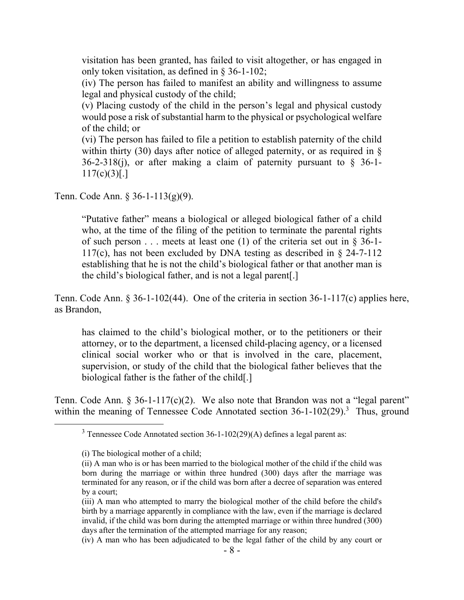visitation has been granted, has failed to visit altogether, or has engaged in only token visitation, as defined in § 36-1-102;

(iv) The person has failed to manifest an ability and willingness to assume legal and physical custody of the child;

(v) Placing custody of the child in the person's legal and physical custody would pose a risk of substantial harm to the physical or psychological welfare of the child; or

(vi) The person has failed to file a petition to establish paternity of the child within thirty (30) days after notice of alleged paternity, or as required in  $\S$  $36-2-318(i)$ , or after making a claim of paternity pursuant to § 36-1- $117(c)(3)[.]$ 

Tenn. Code Ann. § 36-1-113(g)(9).

"Putative father" means a biological or alleged biological father of a child who, at the time of the filing of the petition to terminate the parental rights of such person  $\dots$  meets at least one (1) of the criteria set out in § 36-1-117(c), has not been excluded by DNA testing as described in § 24-7-112 establishing that he is not the child's biological father or that another man is the child's biological father, and is not a legal parent[.]

Tenn. Code Ann. § 36-1-102(44). One of the criteria in section 36-1-117(c) applies here, as Brandon,

has claimed to the child's biological mother, or to the petitioners or their attorney, or to the department, a licensed child-placing agency, or a licensed clinical social worker who or that is involved in the care, placement, supervision, or study of the child that the biological father believes that the biological father is the father of the child[.]

Tenn. Code Ann.  $\S 36$ -1-117(c)(2). We also note that Brandon was not a "legal parent" within the meaning of Tennessee Code Annotated section 36-1-102(29).<sup>3</sup> Thus, ground

 $\overline{a}$ 

<sup>3</sup> Tennessee Code Annotated section 36-1-102(29)(A) defines a legal parent as:

<sup>(</sup>i) The biological mother of a child;

<sup>(</sup>ii) A man who is or has been married to the biological mother of the child if the child was born during the marriage or within three hundred (300) days after the marriage was terminated for any reason, or if the child was born after a decree of separation was entered by a court;

<sup>(</sup>iii) A man who attempted to marry the biological mother of the child before the child's birth by a marriage apparently in compliance with the law, even if the marriage is declared invalid, if the child was born during the attempted marriage or within three hundred (300) days after the termination of the attempted marriage for any reason;

<sup>(</sup>iv) A man who has been adjudicated to be the legal father of the child by any court or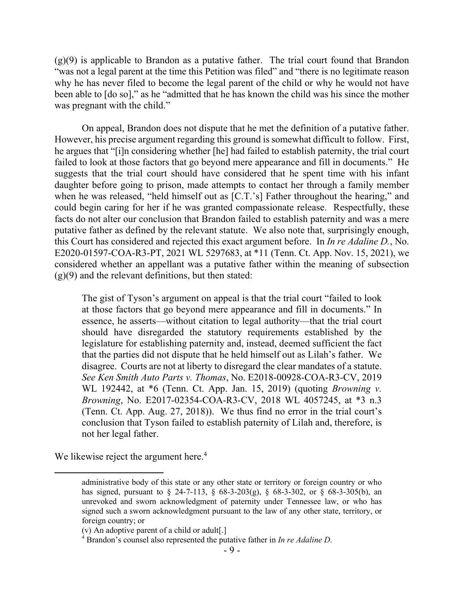$(g)(9)$  is applicable to Brandon as a putative father. The trial court found that Brandon "was not a legal parent at the time this Petition was filed" and "there is no legitimate reason why he has never filed to become the legal parent of the child or why he would not have been able to [do so]," as he "admitted that he has known the child was his since the mother was pregnant with the child."

On appeal, Brandon does not dispute that he met the definition of a putative father. However, his precise argument regarding this ground is somewhat difficult to follow. First, he argues that "[i]n considering whether [he] had failed to establish paternity, the trial court failed to look at those factors that go beyond mere appearance and fill in documents." He suggests that the trial court should have considered that he spent time with his infant daughter before going to prison, made attempts to contact her through a family member when he was released, "held himself out as [C.T.'s] Father throughout the hearing," and could begin caring for her if he was granted compassionate release. Respectfully, these facts do not alter our conclusion that Brandon failed to establish paternity and was a mere putative father as defined by the relevant statute. We also note that, surprisingly enough, this Court has considered and rejected this exact argument before. In *In re Adaline D.*, No. E2020-01597-COA-R3-PT, 2021 WL 5297683, at \*11 (Tenn. Ct. App. Nov. 15, 2021), we considered whether an appellant was a putative father within the meaning of subsection  $(g)(9)$  and the relevant definitions, but then stated:

The gist of Tyson's argument on appeal is that the trial court "failed to look at those factors that go beyond mere appearance and fill in documents." In essence, he asserts—without citation to legal authority—that the trial court should have disregarded the statutory requirements established by the legislature for establishing paternity and, instead, deemed sufficient the fact that the parties did not dispute that he held himself out as Lilah's father. We disagree. Courts are not at liberty to disregard the clear mandates of a statute. *See Ken Smith Auto Parts v. Thomas*, No. E2018-00928-COA-R3-CV, 2019 WL 192442, at \*6 (Tenn. Ct. App. Jan. 15, 2019) (quoting *Browning v. Browning*, No. E2017-02354-COA-R3-CV, 2018 WL 4057245, at \*3 n.3 (Tenn. Ct. App. Aug. 27, 2018)). We thus find no error in the trial court's conclusion that Tyson failed to establish paternity of Lilah and, therefore, is not her legal father.

We likewise reject the argument here.<sup>4</sup>

administrative body of this state or any other state or territory or foreign country or who has signed, pursuant to  $\S$  24-7-113,  $\S$  68-3-203(g),  $\S$  68-3-302, or  $\S$  68-3-305(b), an unrevoked and sworn acknowledgment of paternity under Tennessee law, or who has signed such a sworn acknowledgment pursuant to the law of any other state, territory, or foreign country; or

<sup>(</sup>v) An adoptive parent of a child or adult[.]

<sup>4</sup> Brandon's counsel also represented the putative father in *In re Adaline D*.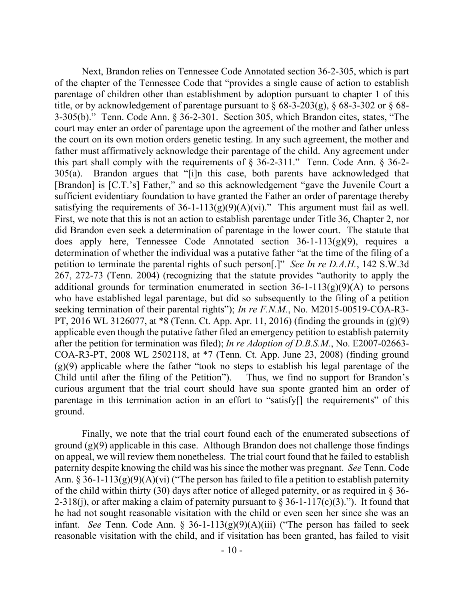Next, Brandon relies on Tennessee Code Annotated section 36-2-305, which is part of the chapter of the Tennessee Code that "provides a single cause of action to establish parentage of children other than establishment by adoption pursuant to chapter 1 of this title, or by acknowledgement of parentage pursuant to  $\S$  68-3-203(g),  $\S$  68-3-302 or  $\S$  68-3-305(b)." Tenn. Code Ann. § 36-2-301. Section 305, which Brandon cites, states, "The court may enter an order of parentage upon the agreement of the mother and father unless the court on its own motion orders genetic testing. In any such agreement, the mother and father must affirmatively acknowledge their parentage of the child. Any agreement under this part shall comply with the requirements of § 36-2-311." Tenn. Code Ann. § 36-2- 305(a). Brandon argues that "[i]n this case, both parents have acknowledged that [Brandon] is [C.T.'s] Father," and so this acknowledgement "gave the Juvenile Court a sufficient evidentiary foundation to have granted the Father an order of parentage thereby satisfying the requirements of  $36$ -1-113(g)(9)(A)(vi)." This argument must fail as well. First, we note that this is not an action to establish parentage under Title 36, Chapter 2, nor did Brandon even seek a determination of parentage in the lower court. The statute that does apply here, Tennessee Code Annotated section  $36-1-113(g)(9)$ , requires a determination of whether the individual was a putative father "at the time of the filing of a petition to terminate the parental rights of such person[.]" *See In re D.A.H.*, 142 S.W.3d 267, 272-73 (Tenn. 2004) (recognizing that the statute provides "authority to apply the additional grounds for termination enumerated in section  $36$ -1-113(g)(9)(A) to persons who have established legal parentage, but did so subsequently to the filing of a petition seeking termination of their parental rights"); *In re F.N.M.*, No. M2015-00519-COA-R3- PT, 2016 WL 3126077, at \*8 (Tenn. Ct. App. Apr. 11, 2016) (finding the grounds in (g)(9) applicable even though the putative father filed an emergency petition to establish paternity after the petition for termination was filed); *In re Adoption of D.B.S.M.*, No. E2007-02663- COA-R3-PT, 2008 WL 2502118, at \*7 (Tenn. Ct. App. June 23, 2008) (finding ground  $(g)(9)$  applicable where the father "took no steps to establish his legal parentage of the Child until after the filing of the Petition"). Thus, we find no support for Brandon's curious argument that the trial court should have sua sponte granted him an order of parentage in this termination action in an effort to "satisfy[] the requirements" of this ground.

Finally, we note that the trial court found each of the enumerated subsections of ground (g)(9) applicable in this case. Although Brandon does not challenge those findings on appeal, we will review them nonetheless. The trial court found that he failed to establish paternity despite knowing the child was his since the mother was pregnant. *See* Tenn. Code Ann. § 36-1-113(g)(9)(A)(vi) ("The person has failed to file a petition to establish paternity of the child within thirty (30) days after notice of alleged paternity, or as required in § 36- 2-318(j), or after making a claim of paternity pursuant to  $\S 36$ -1-117(c)(3)."). It found that he had not sought reasonable visitation with the child or even seen her since she was an infant. *See* Tenn. Code Ann. § 36-1-113(g)(9)(A)(iii) ("The person has failed to seek reasonable visitation with the child, and if visitation has been granted, has failed to visit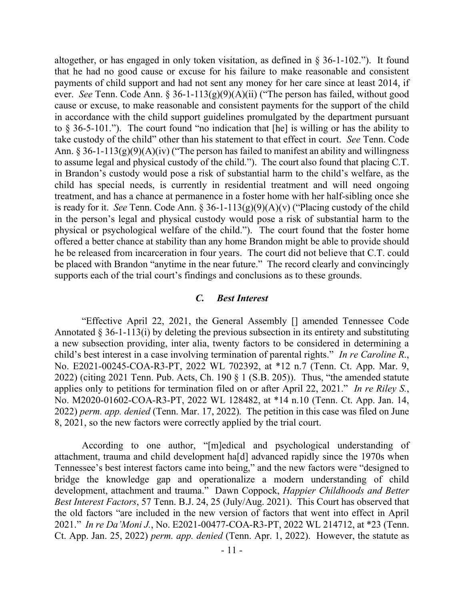altogether, or has engaged in only token visitation, as defined in  $\S 36$ -1-102."). It found that he had no good cause or excuse for his failure to make reasonable and consistent payments of child support and had not sent any money for her care since at least 2014, if ever. *See* Tenn. Code Ann. § 36-1-113(g)(9)(A)(ii) ("The person has failed, without good cause or excuse, to make reasonable and consistent payments for the support of the child in accordance with the child support guidelines promulgated by the department pursuant to  $\S$  36-5-101."). The court found "no indication that [he] is willing or has the ability to take custody of the child" other than his statement to that effect in court. *See* Tenn. Code Ann. § 36-1-113(g)(9)(A)(iv) ("The person has failed to manifest an ability and willingness to assume legal and physical custody of the child."). The court also found that placing C.T. in Brandon's custody would pose a risk of substantial harm to the child's welfare, as the child has special needs, is currently in residential treatment and will need ongoing treatment, and has a chance at permanence in a foster home with her half-sibling once she is ready for it. *See* Tenn. Code Ann. §  $36-1-113(g)(9)(A)(v)$  ("Placing custody of the child in the person's legal and physical custody would pose a risk of substantial harm to the physical or psychological welfare of the child."). The court found that the foster home offered a better chance at stability than any home Brandon might be able to provide should he be released from incarceration in four years. The court did not believe that C.T. could be placed with Brandon "anytime in the near future." The record clearly and convincingly supports each of the trial court's findings and conclusions as to these grounds.

#### *C. Best Interest*

"Effective April 22, 2021, the General Assembly [] amended Tennessee Code Annotated § 36-1-113(i) by deleting the previous subsection in its entirety and substituting a new subsection providing, inter alia, twenty factors to be considered in determining a child's best interest in a case involving termination of parental rights." *In re Caroline R*., No. E2021-00245-COA-R3-PT, 2022 WL 702392, at \*12 n.7 (Tenn. Ct. App. Mar. 9, 2022) (citing 2021 Tenn. Pub. Acts, Ch. 190 § 1 (S.B. 205)). Thus, "the amended statute applies only to petitions for termination filed on or after April 22, 2021." *In re Riley S.*, No. M2020-01602-COA-R3-PT, 2022 WL 128482, at \*14 n.10 (Tenn. Ct. App. Jan. 14, 2022) *perm. app. denied* (Tenn. Mar. 17, 2022). The petition in this case was filed on June 8, 2021, so the new factors were correctly applied by the trial court.

According to one author, "[m]edical and psychological understanding of attachment, trauma and child development ha[d] advanced rapidly since the 1970s when Tennessee's best interest factors came into being," and the new factors were "designed to bridge the knowledge gap and operationalize a modern understanding of child development, attachment and trauma." Dawn Coppock, *Happier Childhoods and Better Best Interest Factors*, 57 Tenn. B.J. 24, 25 (July/Aug. 2021). This Court has observed that the old factors "are included in the new version of factors that went into effect in April 2021." *In re Da'Moni J.*, No. E2021-00477-COA-R3-PT, 2022 WL 214712, at \*23 (Tenn. Ct. App. Jan. 25, 2022) *perm. app. denied* (Tenn. Apr. 1, 2022). However, the statute as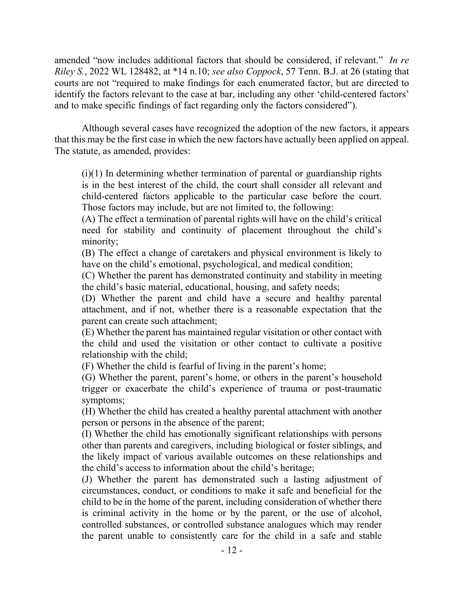amended "now includes additional factors that should be considered, if relevant." *In re Riley S.*, 2022 WL 128482, at \*14 n.10; *see also Coppock*, 57 Tenn. B.J. at 26 (stating that courts are not "required to make findings for each enumerated factor, but are directed to identify the factors relevant to the case at bar, including any other 'child-centered factors' and to make specific findings of fact regarding only the factors considered").

Although several cases have recognized the adoption of the new factors, it appears that this may be the first case in which the new factors have actually been applied on appeal. The statute, as amended, provides:

(i)(1) In determining whether termination of parental or guardianship rights is in the best interest of the child, the court shall consider all relevant and child-centered factors applicable to the particular case before the court. Those factors may include, but are not limited to, the following:

(A) The effect a termination of parental rights will have on the child's critical need for stability and continuity of placement throughout the child's minority;

(B) The effect a change of caretakers and physical environment is likely to have on the child's emotional, psychological, and medical condition;

(C) Whether the parent has demonstrated continuity and stability in meeting the child's basic material, educational, housing, and safety needs;

(D) Whether the parent and child have a secure and healthy parental attachment, and if not, whether there is a reasonable expectation that the parent can create such attachment;

(E) Whether the parent has maintained regular visitation or other contact with the child and used the visitation or other contact to cultivate a positive relationship with the child;

(F) Whether the child is fearful of living in the parent's home;

(G) Whether the parent, parent's home, or others in the parent's household trigger or exacerbate the child's experience of trauma or post-traumatic symptoms;

(H) Whether the child has created a healthy parental attachment with another person or persons in the absence of the parent;

(I) Whether the child has emotionally significant relationships with persons other than parents and caregivers, including biological or foster siblings, and the likely impact of various available outcomes on these relationships and the child's access to information about the child's heritage;

(J) Whether the parent has demonstrated such a lasting adjustment of circumstances, conduct, or conditions to make it safe and beneficial for the child to be in the home of the parent, including consideration of whether there is criminal activity in the home or by the parent, or the use of alcohol, controlled substances, or controlled substance analogues which may render the parent unable to consistently care for the child in a safe and stable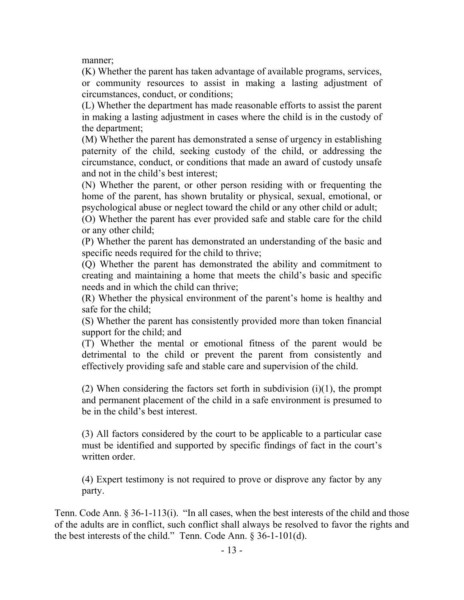manner;

(K) Whether the parent has taken advantage of available programs, services, or community resources to assist in making a lasting adjustment of circumstances, conduct, or conditions;

(L) Whether the department has made reasonable efforts to assist the parent in making a lasting adjustment in cases where the child is in the custody of the department;

(M) Whether the parent has demonstrated a sense of urgency in establishing paternity of the child, seeking custody of the child, or addressing the circumstance, conduct, or conditions that made an award of custody unsafe and not in the child's best interest;

(N) Whether the parent, or other person residing with or frequenting the home of the parent, has shown brutality or physical, sexual, emotional, or psychological abuse or neglect toward the child or any other child or adult;

(O) Whether the parent has ever provided safe and stable care for the child or any other child;

(P) Whether the parent has demonstrated an understanding of the basic and specific needs required for the child to thrive;

(Q) Whether the parent has demonstrated the ability and commitment to creating and maintaining a home that meets the child's basic and specific needs and in which the child can thrive;

(R) Whether the physical environment of the parent's home is healthy and safe for the child;

(S) Whether the parent has consistently provided more than token financial support for the child; and

(T) Whether the mental or emotional fitness of the parent would be detrimental to the child or prevent the parent from consistently and effectively providing safe and stable care and supervision of the child.

(2) When considering the factors set forth in subdivision  $(i)(1)$ , the prompt and permanent placement of the child in a safe environment is presumed to be in the child's best interest.

(3) All factors considered by the court to be applicable to a particular case must be identified and supported by specific findings of fact in the court's written order.

(4) Expert testimony is not required to prove or disprove any factor by any party.

Tenn. Code Ann. § 36-1-113(i). "In all cases, when the best interests of the child and those of the adults are in conflict, such conflict shall always be resolved to favor the rights and the best interests of the child." Tenn. Code Ann. § 36-1-101(d).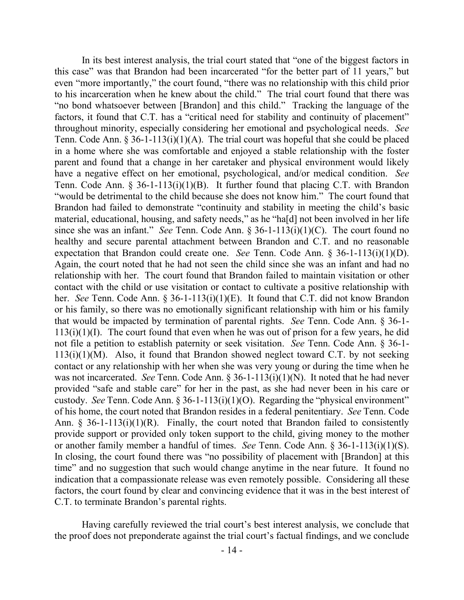In its best interest analysis, the trial court stated that "one of the biggest factors in this case" was that Brandon had been incarcerated "for the better part of 11 years," but even "more importantly," the court found, "there was no relationship with this child prior to his incarceration when he knew about the child." The trial court found that there was "no bond whatsoever between [Brandon] and this child." Tracking the language of the factors, it found that C.T. has a "critical need for stability and continuity of placement" throughout minority, especially considering her emotional and psychological needs. *See*  Tenn. Code Ann. § 36-1-113(i)(1)(A). The trial court was hopeful that she could be placed in a home where she was comfortable and enjoyed a stable relationship with the foster parent and found that a change in her caretaker and physical environment would likely have a negative effect on her emotional, psychological, and/or medical condition. *See*  Tenn. Code Ann. § 36-1-113(i)(1)(B). It further found that placing C.T. with Brandon "would be detrimental to the child because she does not know him." The court found that Brandon had failed to demonstrate "continuity and stability in meeting the child's basic material, educational, housing, and safety needs," as he "ha[d] not been involved in her life since she was an infant." *See* Tenn. Code Ann. § 36-1-113(i)(1)(C). The court found no healthy and secure parental attachment between Brandon and C.T. and no reasonable expectation that Brandon could create one. *See* Tenn. Code Ann. § 36-1-113(i)(1)(D). Again, the court noted that he had not seen the child since she was an infant and had no relationship with her. The court found that Brandon failed to maintain visitation or other contact with the child or use visitation or contact to cultivate a positive relationship with her. *See* Tenn. Code Ann. § 36-1-113(i)(1)(E). It found that C.T. did not know Brandon or his family, so there was no emotionally significant relationship with him or his family that would be impacted by termination of parental rights. *See* Tenn. Code Ann. § 36-1-  $113(i)(1)(I)$ . The court found that even when he was out of prison for a few years, he did not file a petition to establish paternity or seek visitation. *See* Tenn. Code Ann. § 36-1-  $113(i)(1)(M)$ . Also, it found that Brandon showed neglect toward C.T. by not seeking contact or any relationship with her when she was very young or during the time when he was not incarcerated. *See* Tenn. Code Ann. § 36-1-113(i)(1)(N). It noted that he had never provided "safe and stable care" for her in the past, as she had never been in his care or custody. *See* Tenn. Code Ann. § 36-1-113(i)(1)(O). Regarding the "physical environment" of his home, the court noted that Brandon resides in a federal penitentiary. *See* Tenn. Code Ann. § 36-1-113(i)(1)(R). Finally, the court noted that Brandon failed to consistently provide support or provided only token support to the child, giving money to the mother or another family member a handful of times. *See* Tenn. Code Ann. § 36-1-113(i)(1)(S). In closing, the court found there was "no possibility of placement with [Brandon] at this time" and no suggestion that such would change anytime in the near future. It found no indication that a compassionate release was even remotely possible. Considering all these factors, the court found by clear and convincing evidence that it was in the best interest of C.T. to terminate Brandon's parental rights.

Having carefully reviewed the trial court's best interest analysis, we conclude that the proof does not preponderate against the trial court's factual findings, and we conclude